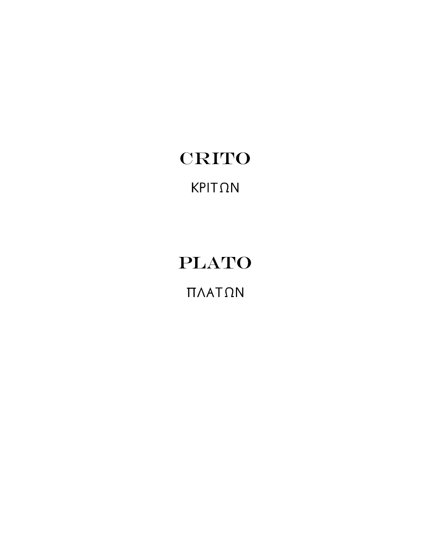## **CRITO**

#### $K$ PIT $\Omega$ N

### PLATO

 $\Pi \Lambda$ AT $\Omega$ N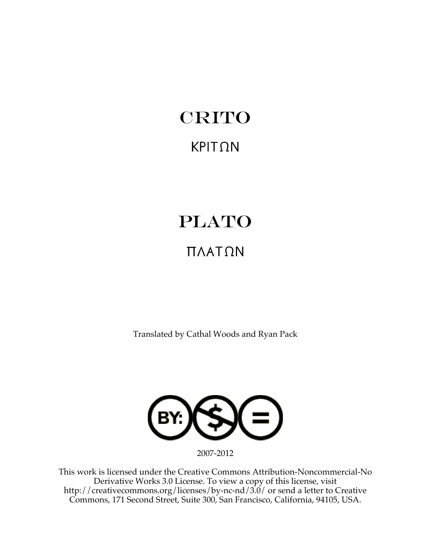### **CRITO**  $K$ PIT $\Omega$ N

# PLATO  $\Pi$ AAT $\Omega$ N

Translated by Cathal Woods and Ryan Pack



2007-2012

This work is licensed under the Creative Commons Attribution-Noncommercial-No Derivative Works 3.0 License. To view a copy of this license, visit http://creativecommons.org/licenses/by-nc-nd/3.0/ or send a letter to Creative Commons, 171 Second Street, Suite 300, San Francisco, California, 94105, USA.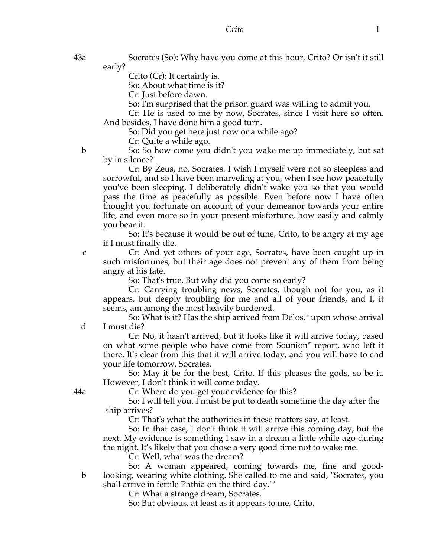Socrates (So): Why have you come at this hour, Crito? Or isn't it still early?

Crito (Cr): It certainly is.

So: About what time is it?

Cr: Just before dawn.

So: I'm surprised that the prison guard was willing to admit you.

Cr: He is used to me by now, Socrates, since I visit here so often. And besides, I have done him a good turn.

So: Did you get here just now or a while ago?

Cr: Quite a while ago.

So: So how come you didn't you wake me up immediately, but sat by in silence?

Cr: By Zeus, no, Socrates. I wish I myself were not so sleepless and sorrowful, and so I have been marveling at you, when I see how peacefully you've been sleeping. I deliberately didn't wake you so that you would pass the time as peacefully as possible. Even before now I have often thought you fortunate on account of your demeanor towards your entire life, and even more so in your present misfortune, how easily and calmly you bear it.

So: It's because it would be out of tune, Crito, to be angry at my age if I must finally die.

Cr: And yet others of your age, Socrates, have been caught up in such misfortunes, but their age does not prevent any of them from being angry at his fate.

So: That's true. But why did you come so early?

Cr: Carrying troubling news, Socrates, though not for you, as it appears, but deeply troubling for me and all of your friends, and I, it seems, am among the most heavily burdened.

So: What is it? Has the ship arrived from Delos,\* upon whose arrival I must die?

Cr: No, it hasn't arrived, but it looks like it will arrive today, based on what some people who have come from Sounion\* report, who left it there. It's clear from this that it will arrive today, and you will have to end your life tomorrow, Socrates.

So: May it be for the best, Crito. If this pleases the gods, so be it. However, I don't think it will come today.

Cr: Where do you get your evidence for this?

So: I will tell you. I must be put to death sometime the day after the ship arrives?

Cr: That's what the authorities in these matters say, at least.

So: In that case, I don't think it will arrive this coming day, but the next. My evidence is something I saw in a dream a little while ago during the night. It's likely that you chose a very good time not to wake me.

Cr: Well, what was the dream?

b So: A woman appeared, coming towards me, fine and goodlooking, wearing white clothing. She called to me and said, "Socrates, you shall arrive in fertile Phthia on the third day."\*

Cr: What a strange dream, Socrates.

So: But obvious, at least as it appears to me, Crito.

44a

b

c

d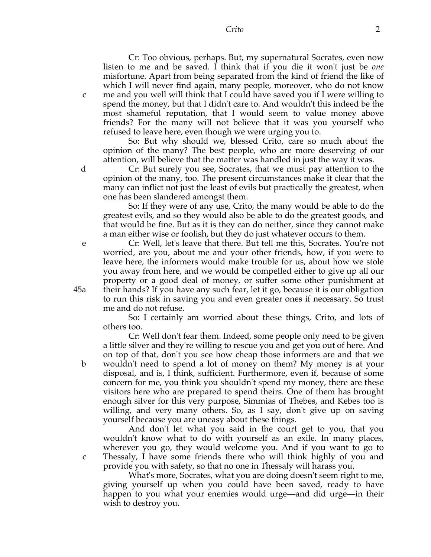*Crito* 2

Cr: Too obvious, perhaps. But, my supernatural Socrates, even now listen to me and be saved. I think that if you die it won't just be *one* misfortune. Apart from being separated from the kind of friend the like of which I will never find again, many people, moreover, who do not know me and you well will think that I could have saved you if I were willing to spend the money, but that I didn't care to. And wouldn't this indeed be the most shameful reputation, that I would seem to value money above friends? For the many will not believe that it was you yourself who refused to leave here, even though we were urging you to.

So: But why should we, blessed Crito, care so much about the opinion of the many? The best people, who are more deserving of our attention, will believe that the matter was handled in just the way it was.

Cr: But surely you see, Socrates, that we must pay attention to the opinion of the many, too. The present circumstances make it clear that the many can inflict not just the least of evils but practically the greatest, when one has been slandered amongst them.

So: If they were of any use, Crito, the many would be able to do the greatest evils, and so they would also be able to do the greatest goods, and that would be fine. But as it is they can do neither, since they cannot make a man either wise or foolish, but they do just whatever occurs to them.

Cr: Well, let's leave that there. But tell me this, Socrates. You're not worried, are you, about me and your other friends, how, if you were to leave here, the informers would make trouble for us, about how we stole you away from here, and we would be compelled either to give up all our property or a good deal of money, or suffer some other punishment at their hands? If you have any such fear, let it go, because it is our obligation to run this risk in saving you and even greater ones if necessary. So trust me and do not refuse.

So: I certainly am worried about these things, Crito, and lots of others too.

Cr: Well don't fear them. Indeed, some people only need to be given a little silver and they're willing to rescue you and get you out of here. And on top of that, don't you see how cheap those informers are and that we wouldn't need to spend a lot of money on them? My money is at your disposal, and is, I think, sufficient. Furthermore, even if, because of some concern for me, you think you shouldn't spend my money, there are these visitors here who are prepared to spend theirs. One of them has brought enough silver for this very purpose, Simmias of Thebes, and Kebes too is willing, and very many others. So, as I say, don't give up on saving yourself because you are uneasy about these things.

And don't let what you said in the court get to you, that you wouldn't know what to do with yourself as an exile. In many places, wherever you go, they would welcome you. And if you want to go to Thessaly, I have some friends there who will think highly of you and provide you with safety, so that no one in Thessaly will harass you.

What's more, Socrates, what you are doing doesn't seem right to me, giving yourself up when you could have been saved, ready to have happen to you what your enemies would urge—and did urge—in their wish to destroy you.

e

c

d

45a

b

c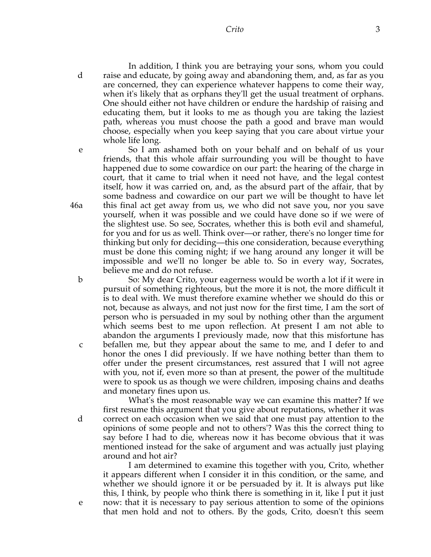*Crito* 3

In addition, I think you are betraying your sons, whom you could raise and educate, by going away and abandoning them, and, as far as you are concerned, they can experience whatever happens to come their way, when it's likely that as orphans they'll get the usual treatment of orphans. One should either not have children or endure the hardship of raising and educating them, but it looks to me as though you are taking the laziest path, whereas you must choose the path a good and brave man would choose, especially when you keep saying that you care about virtue your whole life long.

So I am ashamed both on your behalf and on behalf of us your friends, that this whole affair surrounding you will be thought to have happened due to some cowardice on our part: the hearing of the charge in court, that it came to trial when it need not have, and the legal contest itself, how it was carried on, and, as the absurd part of the affair, that by some badness and cowardice on our part we will be thought to have let this final act get away from us, we who did not save you, nor you save yourself, when it was possible and we could have done so if we were of the slightest use. So see, Socrates, whether this is both evil and shameful, for you and for us as well. Think over—or rather, there's no longer time for thinking but only for deciding—this one consideration, because everything must be done this coming night; if we hang around any longer it will be impossible and we'll no longer be able to. So in every way, Socrates, believe me and do not refuse.

So: My dear Crito, your eagerness would be worth a lot if it were in pursuit of something righteous, but the more it is not, the more difficult it is to deal with. We must therefore examine whether we should do this or not, because as always, and not just now for the first time, I am the sort of person who is persuaded in my soul by nothing other than the argument which seems best to me upon reflection. At present I am not able to abandon the arguments I previously made, now that this misfortune has befallen me, but they appear about the same to me, and I defer to and honor the ones I did previously. If we have nothing better than them to offer under the present circumstances, rest assured that I will not agree with you, not if, even more so than at present, the power of the multitude were to spook us as though we were children, imposing chains and deaths and monetary fines upon us.

What's the most reasonable way we can examine this matter? If we first resume this argument that you give about reputations, whether it was correct on each occasion when we said that one must pay attention to the opinions of some people and not to others'? Was this the correct thing to say before I had to die, whereas now it has become obvious that it was mentioned instead for the sake of argument and was actually just playing around and hot air?

I am determined to examine this together with you, Crito, whether it appears different when I consider it in this condition, or the same, and whether we should ignore it or be persuaded by it. It is always put like this, I think, by people who think there is something in it, like I put it just now: that it is necessary to pay serious attention to some of the opinions that men hold and not to others. By the gods, Crito, doesn't this seem

e

d

46a

b

c

d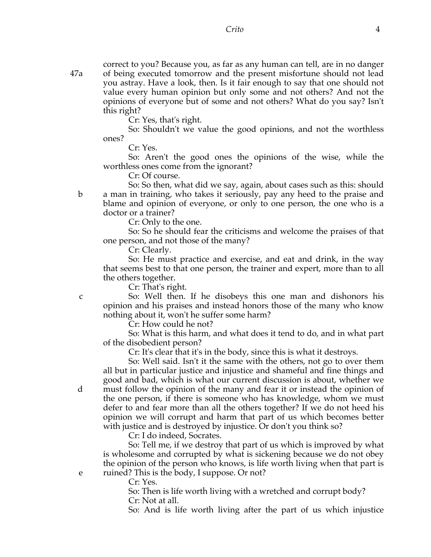correct to you? Because you, as far as any human can tell, are in no danger of being executed tomorrow and the present misfortune should not lead you astray. Have a look, then. Is it fair enough to say that one should not value every human opinion but only some and not others? And not the opinions of everyone but of some and not others? What do you say? Isn't this right?

Cr: Yes, that's right.

So: Shouldn't we value the good opinions, and not the worthless ones?

Cr: Yes.

So: Aren't the good ones the opinions of the wise, while the worthless ones come from the ignorant?

Cr: Of course.

So: So then, what did we say, again, about cases such as this: should a man in training, who takes it seriously, pay any heed to the praise and blame and opinion of everyone, or only to one person, the one who is a doctor or a trainer?

Cr: Only to the one.

So: So he should fear the criticisms and welcome the praises of that one person, and not those of the many?

Cr: Clearly.

So: He must practice and exercise, and eat and drink, in the way that seems best to that one person, the trainer and expert, more than to all the others together.

Cr: That's right.

So: Well then. If he disobeys this one man and dishonors his opinion and his praises and instead honors those of the many who know nothing about it, won't he suffer some harm?

Cr: How could he not?

So: What is this harm, and what does it tend to do, and in what part of the disobedient person?

Cr: It's clear that it's in the body, since this is what it destroys.

So: Well said. Isn't it the same with the others, not go to over them all but in particular justice and injustice and shameful and fine things and good and bad, which is what our current discussion is about, whether we must follow the opinion of the many and fear it or instead the opinion of the one person, if there is someone who has knowledge, whom we must defer to and fear more than all the others together? If we do not heed his opinion we will corrupt and harm that part of us which becomes better with justice and is destroyed by injustice. Or don't you think so?

Cr: I do indeed, Socrates.

So: Tell me, if we destroy that part of us which is improved by what is wholesome and corrupted by what is sickening because we do not obey the opinion of the person who knows, is life worth living when that part is ruined? This is the body, I suppose. Or not?

Cr: Yes.

So: Then is life worth living with a wretched and corrupt body?

Cr: Not at all.

So: And is life worth living after the part of us which injustice

47a

c

b

d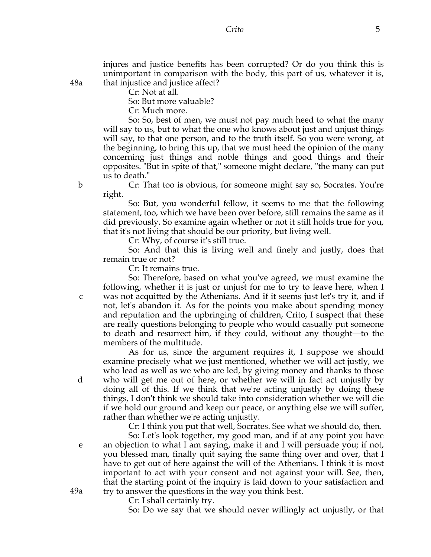injures and justice benefits has been corrupted? Or do you think this is unimportant in comparison with the body, this part of us, whatever it is, that injustice and justice affect?

48a

b

So: But more valuable?

Cr: Much more.

Cr: Not at all.

So: So, best of men, we must not pay much heed to what the many will say to us, but to what the one who knows about just and unjust things will say, to that one person, and to the truth itself. So you were wrong, at the beginning, to bring this up, that we must heed the opinion of the many concerning just things and noble things and good things and their opposites. "But in spite of that," someone might declare, "the many can put us to death."

Cr: That too is obvious, for someone might say so, Socrates. You're right.

So: But, you wonderful fellow, it seems to me that the following statement, too, which we have been over before, still remains the same as it did previously. So examine again whether or not it still holds true for you, that it's not living that should be our priority, but living well.

Cr: Why, of course it's still true.

So: And that this is living well and finely and justly, does that remain true or not?

Cr: It remains true.

So: Therefore, based on what you've agreed, we must examine the following, whether it is just or unjust for me to try to leave here, when I was not acquitted by the Athenians. And if it seems just let's try it, and if not, let's abandon it. As for the points you make about spending money and reputation and the upbringing of children, Crito, I suspect that these are really questions belonging to people who would casually put someone to death and resurrect him, if they could, without any thought—to the members of the multitude.

As for us, since the argument requires it, I suppose we should examine precisely what we just mentioned, whether we will act justly, we who lead as well as we who are led, by giving money and thanks to those who will get me out of here, or whether we will in fact act unjustly by doing all of this. If we think that we're acting unjustly by doing these things, I don't think we should take into consideration whether we will die if we hold our ground and keep our peace, or anything else we will suffer, rather than whether we're acting unjustly.

Cr: I think you put that well, Socrates. See what we should do, then.

So: Let's look together, my good man, and if at any point you have an objection to what I am saying, make it and I will persuade you; if not, you blessed man, finally quit saying the same thing over and over, that I have to get out of here against the will of the Athenians. I think it is most important to act with your consent and not against your will. See, then, that the starting point of the inquiry is laid down to your satisfaction and try to answer the questions in the way you think best.

Cr: I shall certainly try.

So: Do we say that we should never willingly act unjustly, or that

d

e

c

49a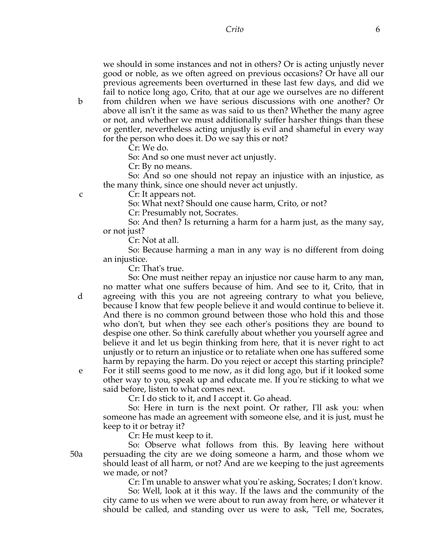we should in some instances and not in others? Or is acting unjustly never good or noble, as we often agreed on previous occasions? Or have all our previous agreements been overturned in these last few days, and did we

b

c

d

e

fail to notice long ago, Crito, that at our age we ourselves are no different from children when we have serious discussions with one another? Or above all isn't it the same as was said to us then? Whether the many agree or not, and whether we must additionally suffer harsher things than these or gentler, nevertheless acting unjustly is evil and shameful in every way for the person who does it. Do we say this or not?

Cr: We do.

So: And so one must never act unjustly.

Cr: By no means.

So: And so one should not repay an injustice with an injustice, as the many think, since one should never act unjustly.

Cr: It appears not.

So: What next? Should one cause harm, Crito, or not?

Cr: Presumably not, Socrates.

So: And then? Is returning a harm for a harm just, as the many say, or not just?

Cr: Not at all.

So: Because harming a man in any way is no different from doing an injustice.

Cr: That's true.

So: One must neither repay an injustice nor cause harm to any man, no matter what one suffers because of him. And see to it, Crito, that in agreeing with this you are not agreeing contrary to what you believe, because I know that few people believe it and would continue to believe it. And there is no common ground between those who hold this and those who don't, but when they see each other's positions they are bound to despise one other. So think carefully about whether you yourself agree and believe it and let us begin thinking from here, that it is never right to act unjustly or to return an injustice or to retaliate when one has suffered some harm by repaying the harm. Do you reject or accept this starting principle? For it still seems good to me now, as it did long ago, but if it looked some other way to you, speak up and educate me. If you're sticking to what we

said before, listen to what comes next.

Cr: I do stick to it, and I accept it. Go ahead.

So: Here in turn is the next point. Or rather, I'll ask you: when someone has made an agreement with someone else, and it is just, must he keep to it or betray it?

Cr: He must keep to it.

So: Observe what follows from this. By leaving here without persuading the city are we doing someone a harm, and those whom we should least of all harm, or not? And are we keeping to the just agreements we made, or not?

Cr: I'm unable to answer what you're asking, Socrates; I don't know.

So: Well, look at it this way. If the laws and the community of the city came to us when we were about to run away from here, or whatever it should be called, and standing over us were to ask, "Tell me, Socrates,

50a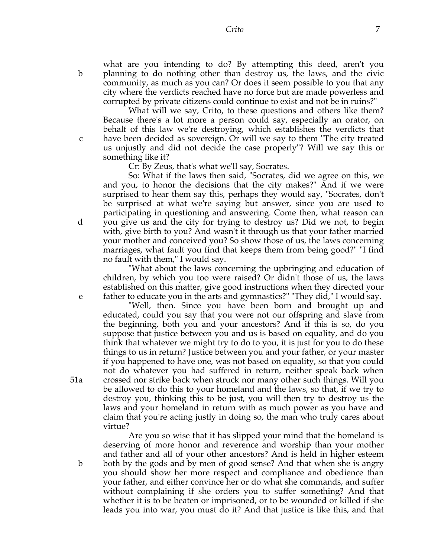what are you intending to do? By attempting this deed, aren't you planning to do nothing other than destroy us, the laws, and the civic community, as much as you can? Or does it seem possible to you that any city where the verdicts reached have no force but are made powerless and corrupted by private citizens could continue to exist and not be in ruins?"

What will we say, Crito, to these questions and others like them? Because there's a lot more a person could say, especially an orator, on behalf of this law we're destroying, which establishes the verdicts that have been decided as sovereign. Or will we say to them "The city treated us unjustly and did not decide the case properly"? Will we say this or something like it?

Cr: By Zeus, that's what we'll say, Socrates.

So: What if the laws then said, "Socrates, did we agree on this, we and you, to honor the decisions that the city makes?" And if we were surprised to hear them say this, perhaps they would say, "Socrates, don't be surprised at what we're saying but answer, since you are used to participating in questioning and answering. Come then, what reason can you give us and the city for trying to destroy us? Did we not, to begin with, give birth to you? And wasn't it through us that your father married your mother and conceived you? So show those of us, the laws concerning marriages, what fault you find that keeps them from being good?" "I find no fault with them," I would say.

"What about the laws concerning the upbringing and education of children, by which you too were raised? Or didn't those of us, the laws established on this matter, give good instructions when they directed your father to educate you in the arts and gymnastics?" "They did," I would say.

"Well, then. Since you have been born and brought up and educated, could you say that you were not our offspring and slave from the beginning, both you and your ancestors? And if this is so, do you suppose that justice between you and us is based on equality, and do you think that whatever we might try to do to you, it is just for you to do these things to us in return? Justice between you and your father, or your master if you happened to have one, was not based on equality, so that you could not do whatever you had suffered in return, neither speak back when crossed nor strike back when struck nor many other such things. Will you be allowed to do this to your homeland and the laws, so that, if we try to destroy you, thinking this to be just, you will then try to destroy us the laws and your homeland in return with as much power as you have and claim that you're acting justly in doing so, the man who truly cares about virtue?

Are you so wise that it has slipped your mind that the homeland is deserving of more honor and reverence and worship than your mother and father and all of your other ancestors? And is held in higher esteem both by the gods and by men of good sense? And that when she is angry you should show her more respect and compliance and obedience than your father, and either convince her or do what she commands, and suffer without complaining if she orders you to suffer something? And that whether it is to be beaten or imprisoned, or to be wounded or killed if she leads you into war, you must do it? And that justice is like this, and that

51a

b

b

c

d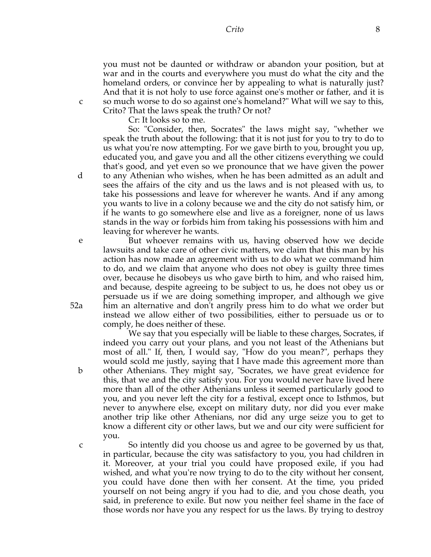#### *Crito* 8

you must not be daunted or withdraw or abandon your position, but at war and in the courts and everywhere you must do what the city and the homeland orders, or convince her by appealing to what is naturally just? And that it is not holy to use force against one's mother or father, and it is so much worse to do so against one's homeland?" What will we say to this, Crito? That the laws speak the truth? Or not?

Cr: It looks so to me.

So: "Consider, then, Socrates" the laws might say, "whether we speak the truth about the following: that it is not just for you to try to do to us what you're now attempting. For we gave birth to you, brought you up, educated you, and gave you and all the other citizens everything we could that's good, and yet even so we pronounce that we have given the power to any Athenian who wishes, when he has been admitted as an adult and sees the affairs of the city and us the laws and is not pleased with us, to take his possessions and leave for wherever he wants. And if any among you wants to live in a colony because we and the city do not satisfy him, or if he wants to go somewhere else and live as a foreigner, none of us laws stands in the way or forbids him from taking his possessions with him and leaving for wherever he wants.

But whoever remains with us, having observed how we decide lawsuits and take care of other civic matters, we claim that this man by his action has now made an agreement with us to do what we command him to do, and we claim that anyone who does not obey is guilty three times over, because he disobeys us who gave birth to him, and who raised him, and because, despite agreeing to be subject to us, he does not obey us or persuade us if we are doing something improper, and although we give him an alternative and don't angrily press him to do what we order but instead we allow either of two possibilities, either to persuade us or to comply, he does neither of these.

We say that you especially will be liable to these charges, Socrates, if indeed you carry out your plans, and you not least of the Athenians but most of all." If, then, I would say, "How do you mean?", perhaps they would scold me justly, saying that I have made this agreement more than other Athenians. They might say, "Socrates, we have great evidence for this, that we and the city satisfy you. For you would never have lived here more than all of the other Athenians unless it seemed particularly good to you, and you never left the city for a festival, except once to Isthmos, but never to anywhere else, except on military duty, nor did you ever make another trip like other Athenians, nor did any urge seize you to get to know a different city or other laws, but we and our city were sufficient for you.

So intently did you choose us and agree to be governed by us that, in particular, because the city was satisfactory to you, you had children in it. Moreover, at your trial you could have proposed exile, if you had wished, and what you're now trying to do to the city without her consent, you could have done then with her consent. At the time, you prided yourself on not being angry if you had to die, and you chose death, you said, in preference to exile. But now you neither feel shame in the face of those words nor have you any respect for us the laws. By trying to destroy

d

e

c

52a

b

c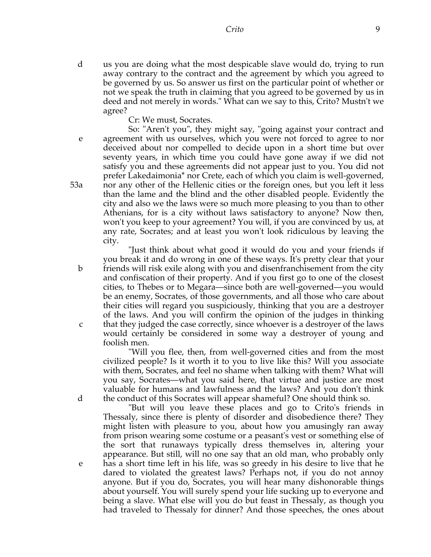d us you are doing what the most despicable slave would do, trying to run away contrary to the contract and the agreement by which you agreed to be governed by us. So answer us first on the particular point of whether or not we speak the truth in claiming that you agreed to be governed by us in deed and not merely in words." What can we say to this, Crito? Mustn't we agree?

Cr: We must, Socrates.

So: "Aren't you", they might say, "going against your contract and agreement with us ourselves, which you were not forced to agree to nor deceived about nor compelled to decide upon in a short time but over seventy years, in which time you could have gone away if we did not satisfy you and these agreements did not appear just to you. You did not prefer Lakedaimonia\* nor Crete, each of which you claim is well-governed, nor any other of the Hellenic cities or the foreign ones, but you left it less than the lame and the blind and the other disabled people. Evidently the city and also we the laws were so much more pleasing to you than to other Athenians, for is a city without laws satisfactory to anyone? Now then, won't you keep to your agreement? You will, if you are convinced by us, at any rate, Socrates; and at least you won't look ridiculous by leaving the city.

"Just think about what good it would do you and your friends if you break it and do wrong in one of these ways. It's pretty clear that your friends will risk exile along with you and disenfranchisement from the city and confiscation of their property. And if you first go to one of the closest cities, to Thebes or to Megara—since both are well-governed—you would be an enemy, Socrates, of those governments, and all those who care about their cities will regard you suspiciously, thinking that you are a destroyer of the laws. And you will confirm the opinion of the judges in thinking that they judged the case correctly, since whoever is a destroyer of the laws would certainly be considered in some way a destroyer of young and foolish men.

"Will you flee, then, from well-governed cities and from the most civilized people? Is it worth it to you to live like this? Will you associate with them, Socrates, and feel no shame when talking with them? What will you say, Socrates—what you said here, that virtue and justice are most valuable for humans and lawfulness and the laws? And you don't think the conduct of this Socrates will appear shameful? One should think so.

"But will you leave these places and go to Crito's friends in Thessaly, since there is plenty of disorder and disobedience there? They might listen with pleasure to you, about how you amusingly ran away from prison wearing some costume or a peasant's vest or something else of the sort that runaways typically dress themselves in, altering your appearance. But still, will no one say that an old man, who probably only has a short time left in his life, was so greedy in his desire to live that he dared to violated the greatest laws? Perhaps not, if you do not annoy anyone. But if you do, Socrates, you will hear many dishonorable things about yourself. You will surely spend your life sucking up to everyone and being a slave. What else will you do but feast in Thessaly, as though you had traveled to Thessaly for dinner? And those speeches, the ones about

53a

e

b

c

d